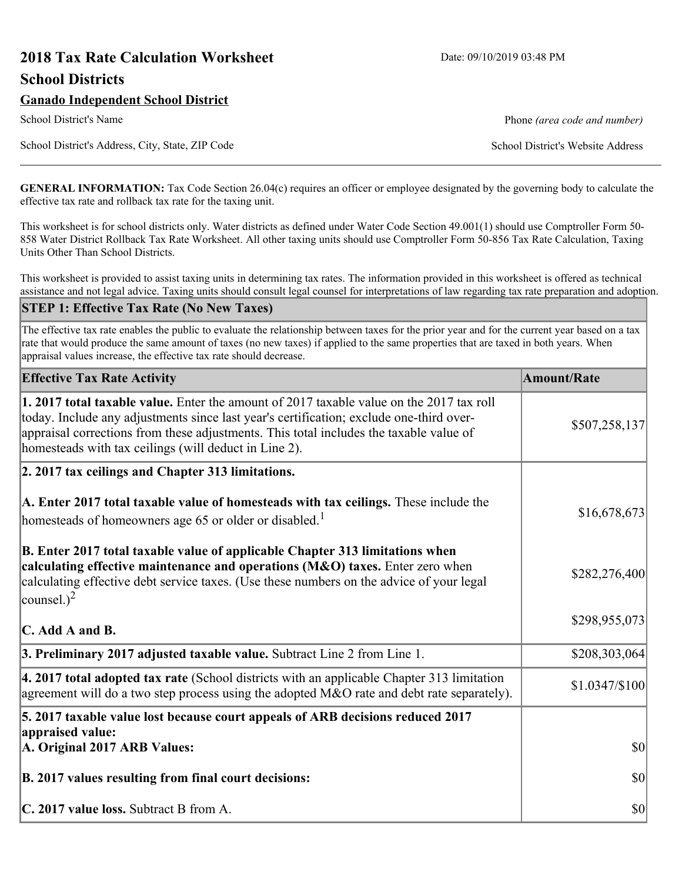# **2018 Tax Rate Calculation Worksheet** Date: 09/10/2019 03:48 PM **School Districts**

# **Ganado Independent School District**

School District's Address, City, State, ZIP Code School District's Website Address

School District's Name **Phone** *(area code and number)* Phone *(area code and number)* 

**GENERAL INFORMATION:** Tax Code Section 26.04(c) requires an officer or employee designated by the governing body to calculate the effective tax rate and rollback tax rate for the taxing unit.

This worksheet is for school districts only. Water districts as defined under Water Code Section 49.001(1) should use Comptroller Form 50- 858 Water District Rollback Tax Rate Worksheet. All other taxing units should use Comptroller Form 50-856 Tax Rate Calculation, Taxing Units Other Than School Districts.

This worksheet is provided to assist taxing units in determining tax rates. The information provided in this worksheet is offered as technical assistance and not legal advice. Taxing units should consult legal counsel for interpretations of law regarding tax rate preparation and adoption.

#### **STEP 1: Effective Tax Rate (No New Taxes)**

The effective tax rate enables the public to evaluate the relationship between taxes for the prior year and for the current year based on a tax rate that would produce the same amount of taxes (no new taxes) if applied to the same properties that are taxed in both years. When appraisal values increase, the effective tax rate should decrease.

| <b>Effective Tax Rate Activity</b>                                                                                                                                                                                                                                                                                                     | <b>Amount/Rate</b> |
|----------------------------------------------------------------------------------------------------------------------------------------------------------------------------------------------------------------------------------------------------------------------------------------------------------------------------------------|--------------------|
| 1. 2017 total taxable value. Enter the amount of 2017 taxable value on the 2017 tax roll<br>today. Include any adjustments since last year's certification; exclude one-third over-<br>appraisal corrections from these adjustments. This total includes the taxable value of<br>homesteads with tax ceilings (will deduct in Line 2). | \$507,258,137      |
| 2. 2017 tax ceilings and Chapter 313 limitations.                                                                                                                                                                                                                                                                                      |                    |
| A. Enter 2017 total taxable value of homesteads with tax ceilings. These include the<br>homesteads of homeowners age 65 or older or disabled. <sup>1</sup>                                                                                                                                                                             | \$16,678,673       |
| B. Enter 2017 total taxable value of applicable Chapter 313 limitations when<br>calculating effective maintenance and operations (M&O) taxes. Enter zero when<br>calculating effective debt service taxes. (Use these numbers on the advice of your legal<br>counsel.) <sup>2</sup>                                                    | \$282,276,400      |
| $\mathbf C$ . Add A and B.                                                                                                                                                                                                                                                                                                             | \$298,955,073      |
| 3. Preliminary 2017 adjusted taxable value. Subtract Line 2 from Line 1.                                                                                                                                                                                                                                                               | \$208,303,064      |
| $\vert$ 4. 2017 total adopted tax rate (School districts with an applicable Chapter 313 limitation<br>agreement will do a two step process using the adopted M&O rate and debt rate separately).                                                                                                                                       | $$1.0347/\$100$    |
| 5. 2017 taxable value lost because court appeals of ARB decisions reduced 2017                                                                                                                                                                                                                                                         |                    |
| appraised value:<br>A. Original 2017 ARB Values:                                                                                                                                                                                                                                                                                       | $ 10\rangle$       |
| B. 2017 values resulting from final court decisions:                                                                                                                                                                                                                                                                                   | $ 10\rangle$       |
| C. 2017 value loss. Subtract B from A.                                                                                                                                                                                                                                                                                                 | $ 10\rangle$       |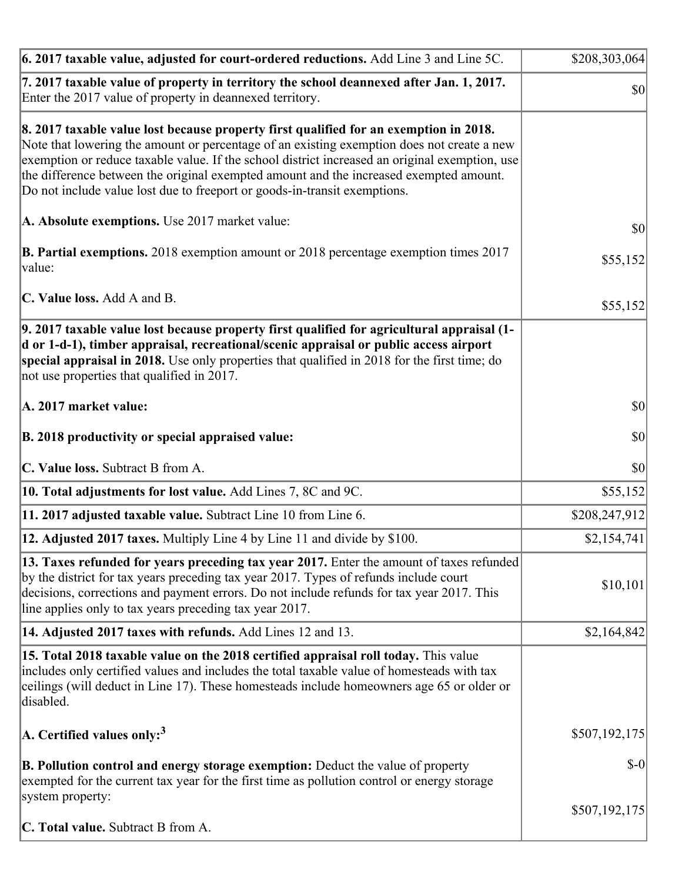| 6. 2017 taxable value, adjusted for court-ordered reductions. Add Line 3 and Line 5C.                                                                                                                                                                                                                                                                                                                                                                        | \$208,303,064 |
|--------------------------------------------------------------------------------------------------------------------------------------------------------------------------------------------------------------------------------------------------------------------------------------------------------------------------------------------------------------------------------------------------------------------------------------------------------------|---------------|
| 7. 2017 taxable value of property in territory the school deannexed after Jan. 1, 2017.<br>Enter the 2017 value of property in deannexed territory.                                                                                                                                                                                                                                                                                                          | $ 10\rangle$  |
| 8. 2017 taxable value lost because property first qualified for an exemption in 2018.<br>Note that lowering the amount or percentage of an existing exemption does not create a new<br>exemption or reduce taxable value. If the school district increased an original exemption, use<br>the difference between the original exempted amount and the increased exempted amount.<br>Do not include value lost due to freeport or goods-in-transit exemptions. |               |
| A. Absolute exemptions. Use 2017 market value:                                                                                                                                                                                                                                                                                                                                                                                                               | $ 10\rangle$  |
| <b>B. Partial exemptions.</b> 2018 exemption amount or 2018 percentage exemption times 2017<br>$\vert$ value:                                                                                                                                                                                                                                                                                                                                                | \$55,152      |
| C. Value loss. Add A and B.                                                                                                                                                                                                                                                                                                                                                                                                                                  | \$55,152      |
| 9. 2017 taxable value lost because property first qualified for agricultural appraisal (1-<br>d or 1-d-1), timber appraisal, recreational/scenic appraisal or public access airport<br>special appraisal in 2018. Use only properties that qualified in 2018 for the first time; do<br>not use properties that qualified in 2017.                                                                                                                            |               |
| A. 2017 market value:                                                                                                                                                                                                                                                                                                                                                                                                                                        | $ 10\rangle$  |
| B. 2018 productivity or special appraised value:                                                                                                                                                                                                                                                                                                                                                                                                             | \$0           |
| C. Value loss. Subtract B from A.                                                                                                                                                                                                                                                                                                                                                                                                                            | $ 10\rangle$  |
| 10. Total adjustments for lost value. Add Lines 7, 8C and 9C.                                                                                                                                                                                                                                                                                                                                                                                                | \$55,152      |
| 11. 2017 adjusted taxable value. Subtract Line 10 from Line 6.                                                                                                                                                                                                                                                                                                                                                                                               | \$208,247,912 |
| <b>12. Adjusted 2017 taxes.</b> Multiply Line 4 by Line 11 and divide by \$100.                                                                                                                                                                                                                                                                                                                                                                              | \$2,154,741   |
| [13. Taxes refunded for years preceding tax year 2017. Enter the amount of taxes refunded]<br>by the district for tax years preceding tax year 2017. Types of refunds include court<br>decisions, corrections and payment errors. Do not include refunds for tax year 2017. This<br>line applies only to tax years preceding tax year 2017.                                                                                                                  | \$10,101      |
| 14. Adjusted 2017 taxes with refunds. Add Lines 12 and 13.                                                                                                                                                                                                                                                                                                                                                                                                   | \$2,164,842   |
| <b>15. Total 2018 taxable value on the 2018 certified appraisal roll today.</b> This value<br>includes only certified values and includes the total taxable value of homesteads with tax<br>ceilings (will deduct in Line 17). These homesteads include homeowners age 65 or older or<br>disabled.                                                                                                                                                           |               |
| A. Certified values only: <sup>3</sup>                                                                                                                                                                                                                                                                                                                                                                                                                       | \$507,192,175 |
| <b>B. Pollution control and energy storage exemption:</b> Deduct the value of property<br>exempted for the current tax year for the first time as pollution control or energy storage<br>system property:                                                                                                                                                                                                                                                    | $$-0$         |
| <b>C. Total value.</b> Subtract B from A.                                                                                                                                                                                                                                                                                                                                                                                                                    | \$507,192,175 |
|                                                                                                                                                                                                                                                                                                                                                                                                                                                              |               |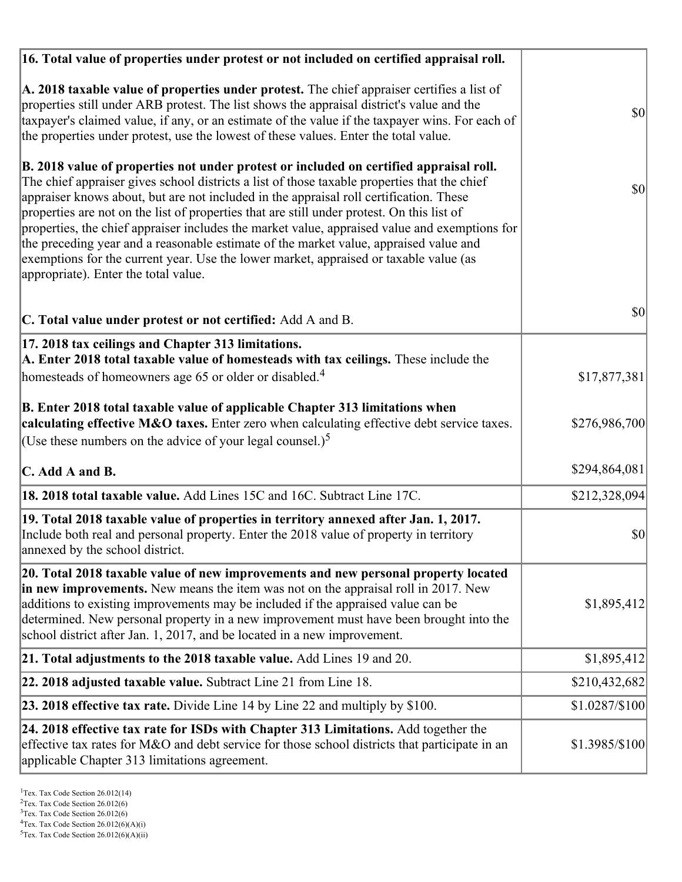| 16. Total value of properties under protest or not included on certified appraisal roll.                                                                                                                                                                                                                                                                                                                                                                                                                                                                                                                                                                                                                  |                |
|-----------------------------------------------------------------------------------------------------------------------------------------------------------------------------------------------------------------------------------------------------------------------------------------------------------------------------------------------------------------------------------------------------------------------------------------------------------------------------------------------------------------------------------------------------------------------------------------------------------------------------------------------------------------------------------------------------------|----------------|
| A. 2018 taxable value of properties under protest. The chief appraiser certifies a list of<br>properties still under ARB protest. The list shows the appraisal district's value and the<br>taxpayer's claimed value, if any, or an estimate of the value if the taxpayer wins. For each of<br>the properties under protest, use the lowest of these values. Enter the total value.                                                                                                                                                                                                                                                                                                                        | $ 10\rangle$   |
| B. 2018 value of properties not under protest or included on certified appraisal roll.<br>The chief appraiser gives school districts a list of those taxable properties that the chief<br>appraiser knows about, but are not included in the appraisal roll certification. These<br>properties are not on the list of properties that are still under protest. On this list of<br>properties, the chief appraiser includes the market value, appraised value and exemptions for<br>the preceding year and a reasonable estimate of the market value, appraised value and<br>exemptions for the current year. Use the lower market, appraised or taxable value (as<br>appropriate). Enter the total value. | \$0            |
| C. Total value under protest or not certified: Add A and B.                                                                                                                                                                                                                                                                                                                                                                                                                                                                                                                                                                                                                                               | \$0            |
| 17. 2018 tax ceilings and Chapter 313 limitations.<br>A. Enter 2018 total taxable value of homesteads with tax ceilings. These include the<br>homesteads of homeowners age 65 or older or disabled. <sup>4</sup>                                                                                                                                                                                                                                                                                                                                                                                                                                                                                          | \$17,877,381   |
| B. Enter 2018 total taxable value of applicable Chapter 313 limitations when<br>calculating effective M&O taxes. Enter zero when calculating effective debt service taxes.<br>(Use these numbers on the advice of your legal counsel.) <sup>5</sup>                                                                                                                                                                                                                                                                                                                                                                                                                                                       | \$276,986,700  |
| $\mathbf C$ . Add A and B.                                                                                                                                                                                                                                                                                                                                                                                                                                                                                                                                                                                                                                                                                | \$294,864,081  |
| 18. 2018 total taxable value. Add Lines 15C and 16C. Subtract Line 17C.                                                                                                                                                                                                                                                                                                                                                                                                                                                                                                                                                                                                                                   | \$212,328,094  |
| 19. Total 2018 taxable value of properties in territory annexed after Jan. 1, 2017.<br>Include both real and personal property. Enter the 2018 value of property in territory<br>annexed by the school district.                                                                                                                                                                                                                                                                                                                                                                                                                                                                                          | \$0            |
| 20. Total 2018 taxable value of new improvements and new personal property located<br>in new improvements. New means the item was not on the appraisal roll in 2017. New<br>additions to existing improvements may be included if the appraised value can be<br>determined. New personal property in a new improvement must have been brought into the<br>school district after Jan. 1, 2017, and be located in a new improvement.                                                                                                                                                                                                                                                                        | \$1,895,412    |
| 21. Total adjustments to the 2018 taxable value. Add Lines 19 and 20.                                                                                                                                                                                                                                                                                                                                                                                                                                                                                                                                                                                                                                     | \$1,895,412    |
| 22. 2018 adjusted taxable value. Subtract Line 21 from Line 18.                                                                                                                                                                                                                                                                                                                                                                                                                                                                                                                                                                                                                                           | \$210,432,682  |
| <b>23. 2018 effective tax rate.</b> Divide Line 14 by Line 22 and multiply by \$100.                                                                                                                                                                                                                                                                                                                                                                                                                                                                                                                                                                                                                      | \$1.0287/\$100 |
| 24. 2018 effective tax rate for ISDs with Chapter 313 Limitations. Add together the<br>effective tax rates for M&O and debt service for those school districts that participate in an<br>applicable Chapter 313 limitations agreement.                                                                                                                                                                                                                                                                                                                                                                                                                                                                    | \$1.3985/\$100 |

<sup>3</sup>Tex. Tax Code Section 26.012(6)

 $2$ Tex. Tax Code Section 26.012(6)

 ${}^{4}$ Tex. Tax Code Section 26.012(6)(A)(i)

 $5$ Tex. Tax Code Section 26.012(6)(A)(ii)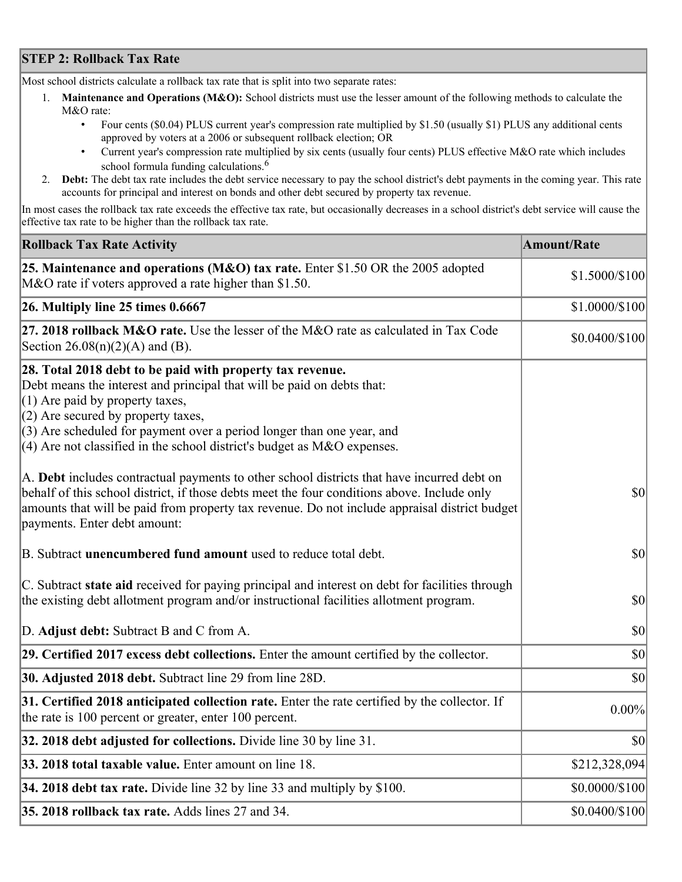## **STEP 2: Rollback Tax Rate**

Most school districts calculate a rollback tax rate that is split into two separate rates:

- 1. **Maintenance and Operations (M&O):** School districts must use the lesser amount of the following methods to calculate the M&O rate:
	- Four cents (\$0.04) PLUS current year's compression rate multiplied by \$1.50 (usually \$1) PLUS any additional cents approved by voters at a 2006 or subsequent rollback election; OR
	- Current year's compression rate multiplied by six cents (usually four cents) PLUS effective M&O rate which includes school formula funding calculations.<sup>6</sup>
- 2. **Debt:** The debt tax rate includes the debt service necessary to pay the school district's debt payments in the coming year. This rate accounts for principal and interest on bonds and other debt secured by property tax revenue.

In most cases the rollback tax rate exceeds the effective tax rate, but occasionally decreases in a school district's debt service will cause the effective tax rate to be higher than the rollback tax rate.

| <b>Rollback Tax Rate Activity</b>                                                                                                                                                                                                                                                                                                                                        | <b>Amount/Rate</b> |
|--------------------------------------------------------------------------------------------------------------------------------------------------------------------------------------------------------------------------------------------------------------------------------------------------------------------------------------------------------------------------|--------------------|
| 25. Maintenance and operations (M&O) tax rate. Enter \$1.50 OR the 2005 adopted<br>M&O rate if voters approved a rate higher than \$1.50.                                                                                                                                                                                                                                | \$1.5000/\$100     |
| $26.$ Multiply line 25 times $0.6667$                                                                                                                                                                                                                                                                                                                                    | \$1.0000/\$100     |
| 27. 2018 rollback $M&O$ rate. Use the lesser of the M&O rate as calculated in Tax Code<br>Section $26.08(n)(2)(A)$ and (B).                                                                                                                                                                                                                                              | $$0.0400/\$100$    |
| 28. Total 2018 debt to be paid with property tax revenue.<br>Debt means the interest and principal that will be paid on debts that:<br>$(1)$ Are paid by property taxes,<br>$(2)$ Are secured by property taxes,<br>$(3)$ Are scheduled for payment over a period longer than one year, and<br>$(4)$ Are not classified in the school district's budget as M&O expenses. |                    |
| A. Debt includes contractual payments to other school districts that have incurred debt on<br>behalf of this school district, if those debts meet the four conditions above. Include only<br>amounts that will be paid from property tax revenue. Do not include appraisal district budget<br>payments. Enter debt amount:                                               | $ 10\rangle$       |
| B. Subtract unencumbered fund amount used to reduce total debt.                                                                                                                                                                                                                                                                                                          | $ 10\rangle$       |
| C. Subtract state aid received for paying principal and interest on debt for facilities through<br>the existing debt allotment program and/or instructional facilities allotment program.                                                                                                                                                                                | $ 10\rangle$       |
| D. Adjust debt: Subtract B and C from A.                                                                                                                                                                                                                                                                                                                                 | $ 10\rangle$       |
| 29. Certified 2017 excess debt collections. Enter the amount certified by the collector.                                                                                                                                                                                                                                                                                 | $ 10\rangle$       |
| 30. Adjusted 2018 debt. Subtract line 29 from line 28D.                                                                                                                                                                                                                                                                                                                  | \$0                |
| 31. Certified 2018 anticipated collection rate. Enter the rate certified by the collector. If<br>the rate is 100 percent or greater, enter 100 percent.                                                                                                                                                                                                                  | 0.00%              |
| 32. 2018 debt adjusted for collections. Divide line 30 by line 31.                                                                                                                                                                                                                                                                                                       | $ 10\rangle$       |
| 33. 2018 total taxable value. Enter amount on line 18.                                                                                                                                                                                                                                                                                                                   | \$212,328,094      |
| 34. 2018 debt tax rate. Divide line 32 by line 33 and multiply by \$100.                                                                                                                                                                                                                                                                                                 | \$0.0000/\$100     |
| 35. 2018 rollback tax rate. Adds lines 27 and 34.                                                                                                                                                                                                                                                                                                                        | \$0.0400/\$100     |